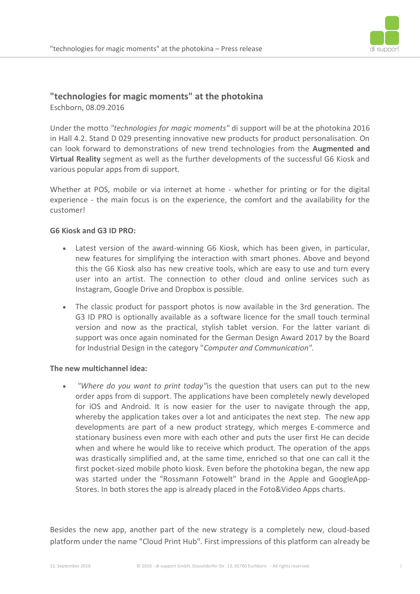

# **"technologies for magic moments" at the photokina**

Eschborn, 08.09.2016

Under the motto *"technologies for magic moments"* di support will be at the photokina 2016 in Hall 4.2. Stand D 029 presenting innovative new products for product personalisation. On can look forward to demonstrations of new trend technologies from the **Augmented and Virtual Reality** segment as well as the further developments of the successful G6 Kiosk and various popular apps from di support.

Whether at POS, mobile or via internet at home - whether for printing or for the digital experience - the main focus is on the experience, the comfort and the availability for the customer!

## **G6 Kiosk and G3 ID PRO:**

- Latest version of the award-winning G6 Kiosk, which has been given, in particular, new features for simplifying the interaction with smart phones. Above and beyond this the G6 Kiosk also has new creative tools, which are easy to use and turn every user into an artist. The connection to other cloud and online services such as Instagram, Google Drive and Dropbox is possible.
- The classic product for passport photos is now available in the 3rd generation. The G3 ID PRO is optionally available as a software licence for the small touch terminal version and now as the practical, stylish tablet version. For the latter variant di support was once again nominated for the German Design Award 2017 by the Board for Industrial Design in the category "*Computer and Communication".*

#### **The new multichannel idea:**

 *"Where do you want to print today"*is the question that users can put to the new order apps from di support. The applications have been completely newly developed for iOS and Android. It is now easier for the user to navigate through the app, whereby the application takes over a lot and anticipates the next step. The new app developments are part of a new product strategy, which merges E-commerce and stationary business even more with each other and puts the user first He can decide when and where he would like to receive which product. The operation of the apps was drastically simplified and, at the same time, enriched so that one can call it the first pocket-sized mobile photo kiosk. Even before the photokina began, the new app was started under the "Rossmann Fotowelt" brand in the Apple and GoogleApp-Stores. In both stores the app is already placed in the Foto&Video Apps charts.

Besides the new app, another part of the new strategy is a completely new, cloud-based platform under the name "Cloud Print Hub". First impressions of this platform can already be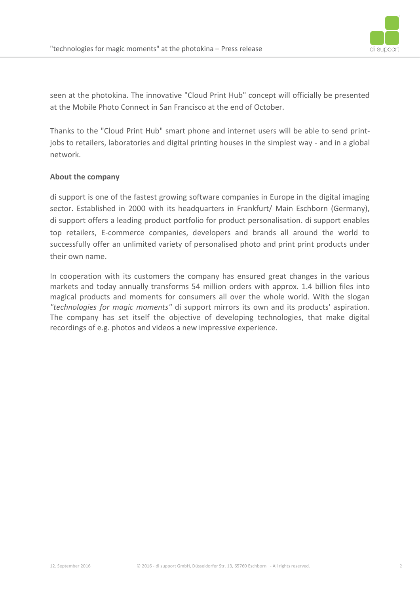

seen at the photokina. The innovative "Cloud Print Hub" concept will officially be presented at the Mobile Photo Connect in San Francisco at the end of October.

Thanks to the "Cloud Print Hub" smart phone and internet users will be able to send printjobs to retailers, laboratories and digital printing houses in the simplest way - and in a global network.

## **About the company**

di support is one of the fastest growing software companies in Europe in the digital imaging sector. Established in 2000 with its headquarters in Frankfurt/ Main Eschborn (Germany), di support offers a leading product portfolio for product personalisation. di support enables top retailers, E-commerce companies, developers and brands all around the world to successfully offer an unlimited variety of personalised photo and print print products under their own name.

In cooperation with its customers the company has ensured great changes in the various markets and today annually transforms 54 million orders with approx. 1.4 billion files into magical products and moments for consumers all over the whole world. With the slogan *"technologies for magic moments"* di support mirrors its own and its products' aspiration. The company has set itself the objective of developing technologies, that make digital recordings of e.g. photos and videos a new impressive experience.